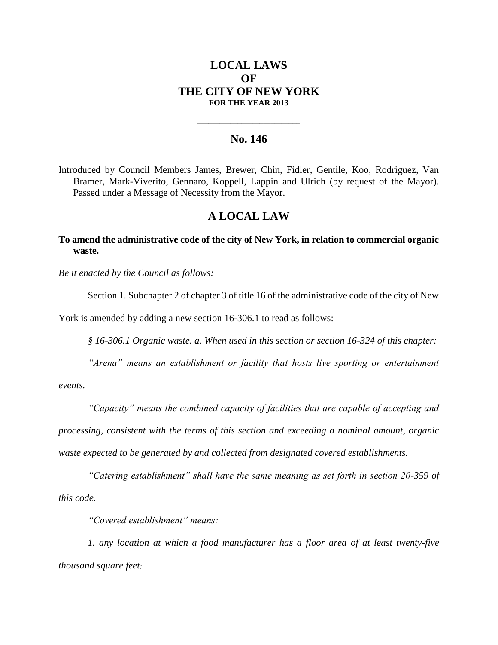## **LOCAL LAWS OF THE CITY OF NEW YORK FOR THE YEAR 2013**

## **No. 146 \_\_\_\_\_\_\_\_\_\_\_\_\_\_\_\_\_\_\_\_\_\_\_**

**\_\_\_\_\_\_\_\_\_\_\_\_\_\_\_\_\_\_\_\_\_\_\_\_\_\_\_\_**

Introduced by Council Members James, Brewer, Chin, Fidler, Gentile, Koo, Rodriguez, Van Bramer, Mark-Viverito, Gennaro, Koppell, Lappin and Ulrich (by request of the Mayor). Passed under a Message of Necessity from the Mayor.

## **A LOCAL LAW**

**To amend the administrative code of the city of New York, in relation to commercial organic waste.**

*Be it enacted by the Council as follows:*

Section 1. Subchapter 2 of chapter 3 of title 16 of the administrative code of the city of New

York is amended by adding a new section 16-306.1 to read as follows:

*§ 16-306.1 Organic waste. a. When used in this section or section 16-324 of this chapter:*

*"Arena" means an establishment or facility that hosts live sporting or entertainment* 

*events.* 

*"Capacity" means the combined capacity of facilities that are capable of accepting and* 

*processing, consistent with the terms of this section and exceeding a nominal amount, organic waste expected to be generated by and collected from designated covered establishments.* 

*"Catering establishment" shall have the same meaning as set forth in section 20-359 of this code.*

*"Covered establishment" means:* 

*1. any location at which a food manufacturer has a floor area of at least twenty-five thousand square feet;*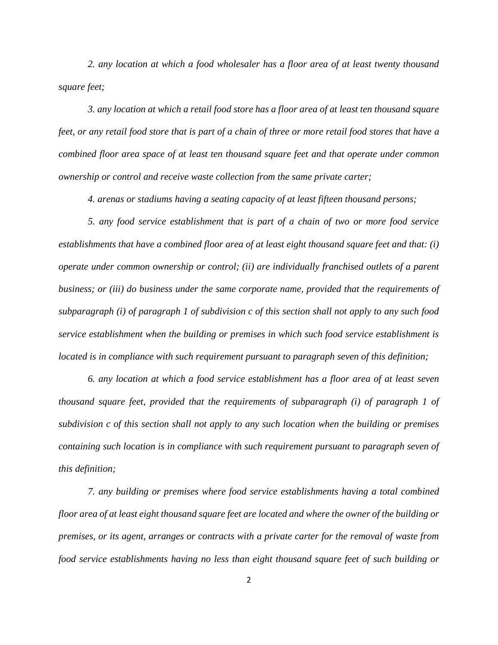*2. any location at which a food wholesaler has a floor area of at least twenty thousand square feet;* 

*3. any location at which a retail food store has a floor area of at least ten thousand square feet, or any retail food store that is part of a chain of three or more retail food stores that have a combined floor area space of at least ten thousand square feet and that operate under common ownership or control and receive waste collection from the same private carter;*

*4. arenas or stadiums having a seating capacity of at least fifteen thousand persons;*

*5. any food service establishment that is part of a chain of two or more food service establishments that have a combined floor area of at least eight thousand square feet and that: (i) operate under common ownership or control; (ii) are individually franchised outlets of a parent business; or (iii) do business under the same corporate name, provided that the requirements of subparagraph (i) of paragraph 1 of subdivision c of this section shall not apply to any such food service establishment when the building or premises in which such food service establishment is located is in compliance with such requirement pursuant to paragraph seven of this definition;*

*6. any location at which a food service establishment has a floor area of at least seven thousand square feet, provided that the requirements of subparagraph (i) of paragraph 1 of subdivision c of this section shall not apply to any such location when the building or premises containing such location is in compliance with such requirement pursuant to paragraph seven of this definition;*

*7. any building or premises where food service establishments having a total combined floor area of at least eight thousand square feet are located and where the owner of the building or premises, or its agent, arranges or contracts with a private carter for the removal of waste from food service establishments having no less than eight thousand square feet of such building or*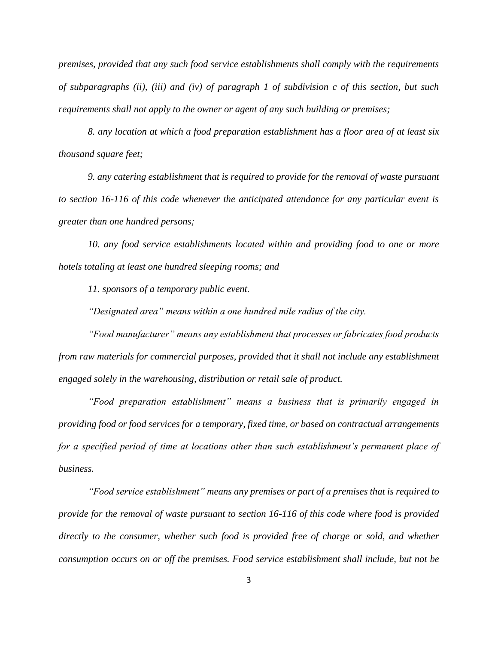*premises, provided that any such food service establishments shall comply with the requirements of subparagraphs (ii), (iii) and (iv) of paragraph 1 of subdivision c of this section, but such requirements shall not apply to the owner or agent of any such building or premises;* 

*8. any location at which a food preparation establishment has a floor area of at least six thousand square feet;* 

*9. any catering establishment that is required to provide for the removal of waste pursuant to section 16-116 of this code whenever the anticipated attendance for any particular event is greater than one hundred persons;*

*10. any food service establishments located within and providing food to one or more hotels totaling at least one hundred sleeping rooms; and*

*11. sponsors of a temporary public event.* 

*"Designated area" means within a one hundred mile radius of the city.*

*"Food manufacturer" means any establishment that processes or fabricates food products from raw materials for commercial purposes, provided that it shall not include any establishment engaged solely in the warehousing, distribution or retail sale of product.*

*"Food preparation establishment" means a business that is primarily engaged in providing food or food services for a temporary, fixed time, or based on contractual arrangements for a specified period of time at locations other than such establishment's permanent place of business.*

*"Food service establishment" means any premises or part of a premises that is required to provide for the removal of waste pursuant to section 16-116 of this code where food is provided directly to the consumer, whether such food is provided free of charge or sold, and whether consumption occurs on or off the premises. Food service establishment shall include, but not be*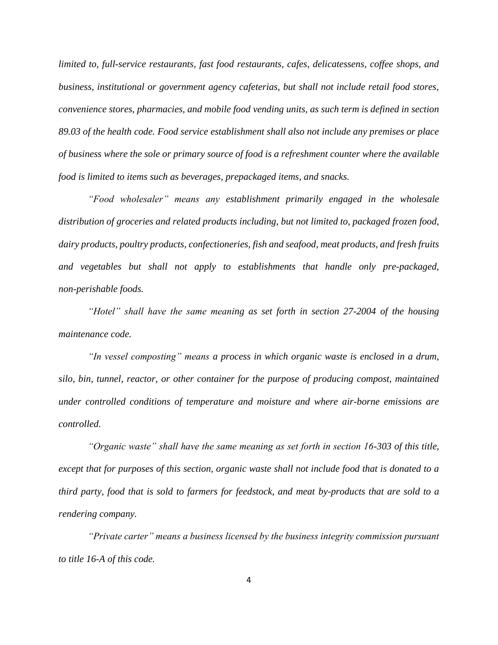*limited to, full-service restaurants, fast food restaurants, cafes, delicatessens, coffee shops, and business, institutional or government agency cafeterias, but shall not include retail food stores, convenience stores, pharmacies, and mobile food vending units, as such term is defined in section 89.03 of the health code. Food service establishment shall also not include any premises or place of business where the sole or primary source of food is a refreshment counter where the available food is limited to items such as beverages, prepackaged items, and snacks.*

*"Food wholesaler" means any establishment primarily engaged in the wholesale distribution of groceries and related products including, but not limited to, packaged frozen food, dairy products, poultry products, confectioneries, fish and seafood, meat products, and fresh fruits and vegetables but shall not apply to establishments that handle only pre-packaged, non-perishable foods.* 

*"Hotel" shall have the same meaning as set forth in section 27-2004 of the housing maintenance code.* 

*"In vessel composting" means a process in which organic waste is enclosed in a drum, silo, bin, tunnel, reactor, or other container for the purpose of producing compost, maintained under controlled conditions of temperature and moisture and where air-borne emissions are controlled.*

*"Organic waste" shall have the same meaning as set forth in section 16-303 of this title, except that for purposes of this section, organic waste shall not include food that is donated to a third party, food that is sold to farmers for feedstock, and meat by-products that are sold to a rendering company.* 

*"Private carter" means a business licensed by the business integrity commission pursuant to title 16-A of this code.*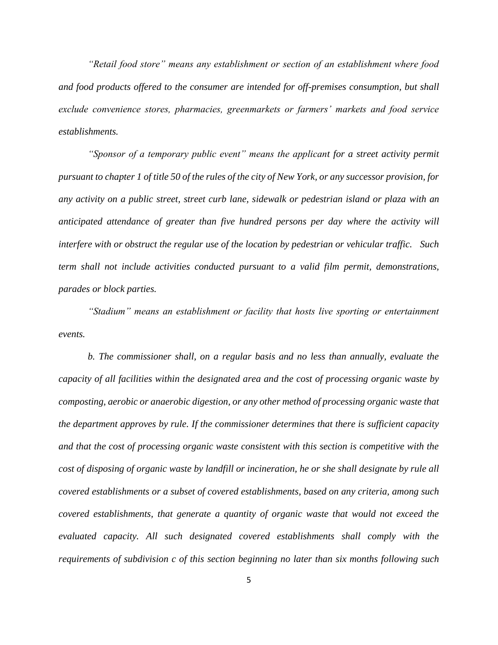*"Retail food store" means any establishment or section of an establishment where food and food products offered to the consumer are intended for off-premises consumption, but shall exclude convenience stores, pharmacies, greenmarkets or farmers' markets and food service establishments.*

*"Sponsor of a temporary public event" means the applicant for a street activity permit pursuant to chapter 1 of title 50 of the rules of the city of New York, or any successor provision, for any activity on a public street, street curb lane, sidewalk or pedestrian island or plaza with an anticipated attendance of greater than five hundred persons per day where the activity will interfere with or obstruct the regular use of the location by pedestrian or vehicular traffic. Such term shall not include activities conducted pursuant to a valid film permit, demonstrations, parades or block parties.*

*"Stadium" means an establishment or facility that hosts live sporting or entertainment events.* 

*b. The commissioner shall, on a regular basis and no less than annually, evaluate the capacity of all facilities within the designated area and the cost of processing organic waste by composting, aerobic or anaerobic digestion, or any other method of processing organic waste that the department approves by rule. If the commissioner determines that there is sufficient capacity and that the cost of processing organic waste consistent with this section is competitive with the cost of disposing of organic waste by landfill or incineration, he or she shall designate by rule all covered establishments or a subset of covered establishments, based on any criteria, among such covered establishments, that generate a quantity of organic waste that would not exceed the evaluated capacity. All such designated covered establishments shall comply with the requirements of subdivision c of this section beginning no later than six months following such*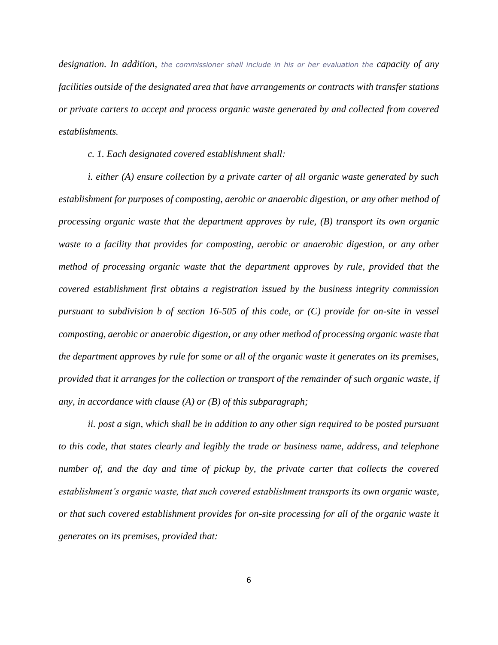*designation. In addition, the commissioner shall include in his or her evaluation the capacity of any facilities outside of the designated area that have arrangements or contracts with transfer stations or private carters to accept and process organic waste generated by and collected from covered establishments.*

*c. 1. Each designated covered establishment shall:* 

*i. either (A) ensure collection by a private carter of all organic waste generated by such establishment for purposes of composting, aerobic or anaerobic digestion, or any other method of processing organic waste that the department approves by rule, (B) transport its own organic waste to a facility that provides for composting, aerobic or anaerobic digestion, or any other method of processing organic waste that the department approves by rule, provided that the covered establishment first obtains a registration issued by the business integrity commission pursuant to subdivision b of section 16-505 of this code, or (C) provide for on-site in vessel composting, aerobic or anaerobic digestion, or any other method of processing organic waste that the department approves by rule for some or all of the organic waste it generates on its premises, provided that it arranges for the collection or transport of the remainder of such organic waste, if any, in accordance with clause (A) or (B) of this subparagraph;* 

*ii. post a sign, which shall be in addition to any other sign required to be posted pursuant to this code, that states clearly and legibly the trade or business name, address, and telephone number of, and the day and time of pickup by, the private carter that collects the covered establishment's organic waste, that such covered establishment transports its own organic waste, or that such covered establishment provides for on-site processing for all of the organic waste it generates on its premises, provided that:*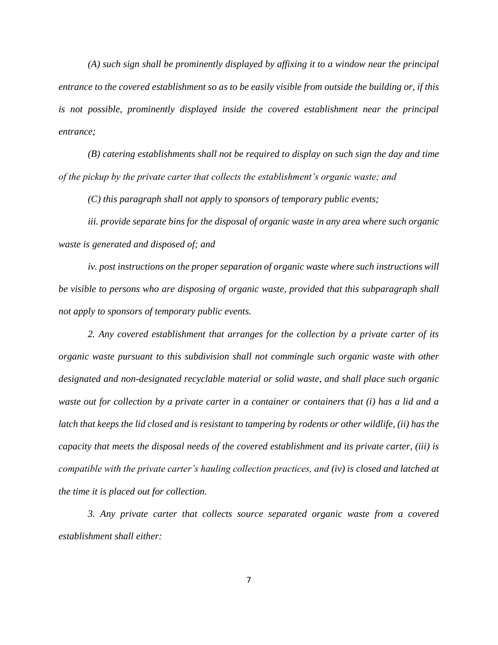*(A) such sign shall be prominently displayed by affixing it to a window near the principal entrance to the covered establishment so as to be easily visible from outside the building or, if this is not possible, prominently displayed inside the covered establishment near the principal entrance;*

*(B) catering establishments shall not be required to display on such sign the day and time of the pickup by the private carter that collects the establishment's organic waste; and*

*(C) this paragraph shall not apply to sponsors of temporary public events;* 

*iii. provide separate bins for the disposal of organic waste in any area where such organic waste is generated and disposed of; and* 

*iv. post instructions on the proper separation of organic waste where such instructions will be visible to persons who are disposing of organic waste, provided that this subparagraph shall not apply to sponsors of temporary public events.*

*2. Any covered establishment that arranges for the collection by a private carter of its organic waste pursuant to this subdivision shall not commingle such organic waste with other designated and non-designated recyclable material or solid waste, and shall place such organic waste out for collection by a private carter in a container or containers that (i) has a lid and a latch that keeps the lid closed and is resistant to tampering by rodents or other wildlife, (ii) has the capacity that meets the disposal needs of the covered establishment and its private carter, (iii) is compatible with the private carter's hauling collection practices, and (iv) is closed and latched at the time it is placed out for collection.* 

*3. Any private carter that collects source separated organic waste from a covered establishment shall either:* 

7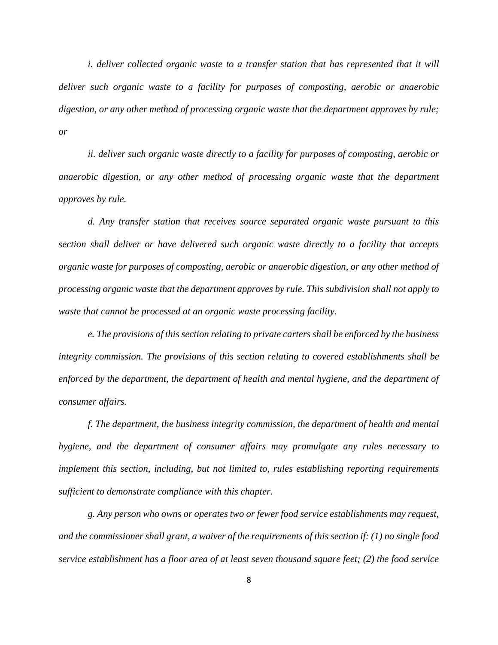*i. deliver collected organic waste to a transfer station that has represented that it will deliver such organic waste to a facility for purposes of composting, aerobic or anaerobic digestion, or any other method of processing organic waste that the department approves by rule; or* 

*ii. deliver such organic waste directly to a facility for purposes of composting, aerobic or anaerobic digestion, or any other method of processing organic waste that the department approves by rule.*

*d. Any transfer station that receives source separated organic waste pursuant to this section shall deliver or have delivered such organic waste directly to a facility that accepts organic waste for purposes of composting, aerobic or anaerobic digestion, or any other method of processing organic waste that the department approves by rule. This subdivision shall not apply to waste that cannot be processed at an organic waste processing facility.*

*e. The provisions of this section relating to private carters shall be enforced by the business integrity commission. The provisions of this section relating to covered establishments shall be enforced by the department, the department of health and mental hygiene, and the department of consumer affairs.* 

*f. The department, the business integrity commission, the department of health and mental hygiene, and the department of consumer affairs may promulgate any rules necessary to implement this section, including, but not limited to, rules establishing reporting requirements sufficient to demonstrate compliance with this chapter.* 

*g. Any person who owns or operates two or fewer food service establishments may request, and the commissioner shall grant, a waiver of the requirements of this section if: (1) no single food service establishment has a floor area of at least seven thousand square feet; (2) the food service*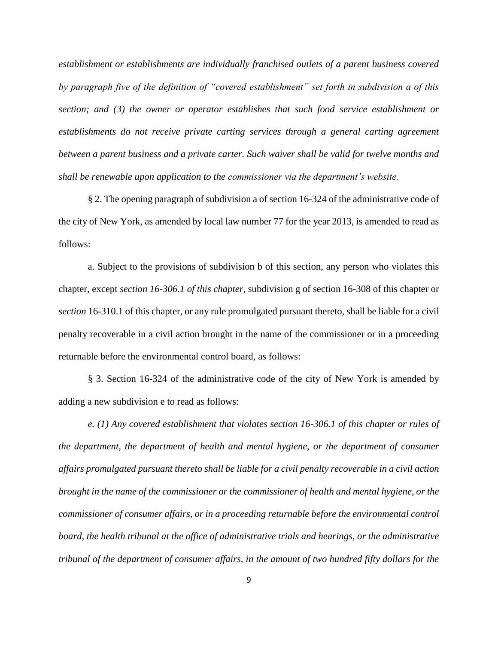*establishment or establishments are individually franchised outlets of a parent business covered by paragraph five of the definition of "covered establishment" set forth in subdivision a of this section; and (3) the owner or operator establishes that such food service establishment or establishments do not receive private carting services through a general carting agreement between a parent business and a private carter. Such waiver shall be valid for twelve months and shall be renewable upon application to the commissioner via the department's website.* 

§ 2. The opening paragraph of subdivision a of section 16-324 of the administrative code of the city of New York, as amended by local law number 77 for the year 2013, is amended to read as follows:

a. Subject to the provisions of subdivision b of this section, any person who violates this chapter, except *section 16-306.1 of this chapter,* subdivision g of section 16-308 of this chapter or *section* 16-310.1 of this chapter, or any rule promulgated pursuant thereto, shall be liable for a civil penalty recoverable in a civil action brought in the name of the commissioner or in a proceeding returnable before the environmental control board, as follows:

§ 3. Section 16-324 of the administrative code of the city of New York is amended by adding a new subdivision e to read as follows:

*e. (1) Any covered establishment that violates section 16-306.1 of this chapter or rules of the department, the department of health and mental hygiene, or the department of consumer affairs promulgated pursuant thereto shall be liable for a civil penalty recoverable in a civil action brought in the name of the commissioner or the commissioner of health and mental hygiene, or the commissioner of consumer affairs, or in a proceeding returnable before the environmental control board, the health tribunal at the office of administrative trials and hearings, or the administrative tribunal of the department of consumer affairs, in the amount of two hundred fifty dollars for the*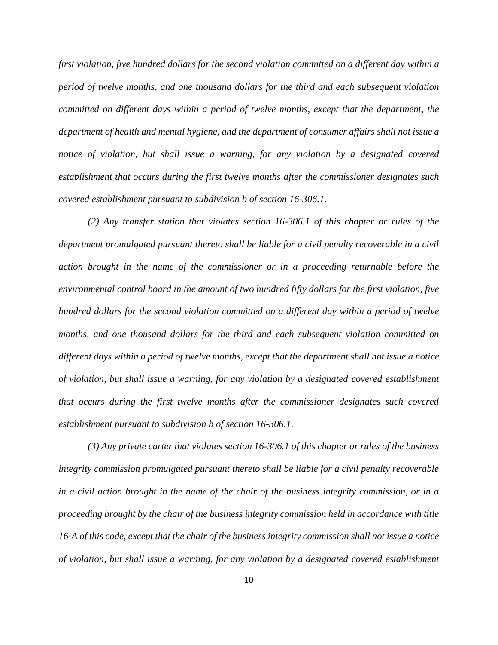*first violation, five hundred dollars for the second violation committed on a different day within a period of twelve months, and one thousand dollars for the third and each subsequent violation committed on different days within a period of twelve months, except that the department, the department of health and mental hygiene, and the department of consumer affairs shall not issue a notice of violation, but shall issue a warning, for any violation by a designated covered establishment that occurs during the first twelve months after the commissioner designates such covered establishment pursuant to subdivision b of section 16-306.1.* 

*(2) Any transfer station that violates section 16-306.1 of this chapter or rules of the department promulgated pursuant thereto shall be liable for a civil penalty recoverable in a civil action brought in the name of the commissioner or in a proceeding returnable before the environmental control board in the amount of two hundred fifty dollars for the first violation, five hundred dollars for the second violation committed on a different day within a period of twelve months, and one thousand dollars for the third and each subsequent violation committed on different days within a period of twelve months, except that the department shall not issue a notice of violation, but shall issue a warning, for any violation by a designated covered establishment that occurs during the first twelve months after the commissioner designates such covered establishment pursuant to subdivision b of section 16-306.1.* 

*(3) Any private carter that violates section 16-306.1 of this chapter or rules of the business integrity commission promulgated pursuant thereto shall be liable for a civil penalty recoverable in a civil action brought in the name of the chair of the business integrity commission, or in a proceeding brought by the chair of the business integrity commission held in accordance with title 16-A of this code, except that the chair of the business integrity commission shall not issue a notice of violation, but shall issue a warning, for any violation by a designated covered establishment*